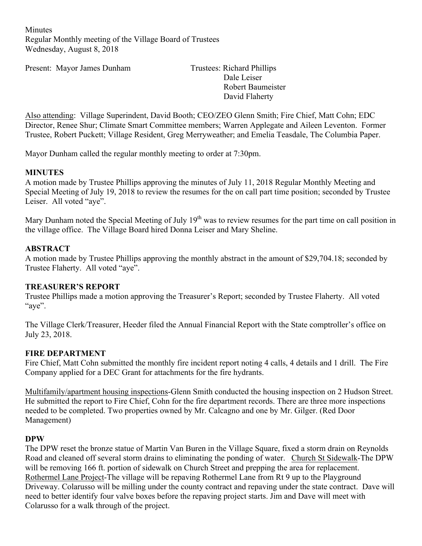**Minutes** Regular Monthly meeting of the Village Board of Trustees Wednesday, August 8, 2018

Present: Mayor James Dunham Trustees: Richard Phillips

Dale Leiser Robert Baumeister David Flaherty

Also attending: Village Superindent, David Booth; CEO/ZEO Glenn Smith; Fire Chief, Matt Cohn; EDC Director, Renee Shur; Climate Smart Committee members; Warren Applegate and Aileen Leventon. Former Trustee, Robert Puckett; Village Resident, Greg Merryweather; and Emelia Teasdale, The Columbia Paper.

Mayor Dunham called the regular monthly meeting to order at 7:30pm.

### **MINUTES**

A motion made by Trustee Phillips approving the minutes of July 11, 2018 Regular Monthly Meeting and Special Meeting of July 19, 2018 to review the resumes for the on call part time position; seconded by Trustee Leiser. All voted "aye".

Mary Dunham noted the Special Meeting of July 19<sup>th</sup> was to review resumes for the part time on call position in the village office. The Village Board hired Donna Leiser and Mary Sheline.

#### **ABSTRACT**

A motion made by Trustee Phillips approving the monthly abstract in the amount of \$29,704.18; seconded by Trustee Flaherty. All voted "aye".

#### **TREASURER'S REPORT**

Trustee Phillips made a motion approving the Treasurer's Report; seconded by Trustee Flaherty. All voted "aye".

The Village Clerk/Treasurer, Heeder filed the Annual Financial Report with the State comptroller's office on July 23, 2018.

#### **FIRE DEPARTMENT**

Fire Chief, Matt Cohn submitted the monthly fire incident report noting 4 calls, 4 details and 1 drill. The Fire Company applied for a DEC Grant for attachments for the fire hydrants.

Multifamily/apartment housing inspections-Glenn Smith conducted the housing inspection on 2 Hudson Street. He submitted the report to Fire Chief, Cohn for the fire department records. There are three more inspections needed to be completed. Two properties owned by Mr. Calcagno and one by Mr. Gilger. (Red Door Management)

#### **DPW**

The DPW reset the bronze statue of Martin Van Buren in the Village Square, fixed a storm drain on Reynolds Road and cleaned off several storm drains to eliminating the ponding of water. Church St Sidewalk-The DPW will be removing 166 ft. portion of sidewalk on Church Street and prepping the area for replacement. Rothermel Lane Project-The village will be repaving Rothermel Lane from Rt 9 up to the Playground Driveway. Colarusso will be milling under the county contract and repaving under the state contract. Dave will need to better identify four valve boxes before the repaving project starts. Jim and Dave will meet with Colarusso for a walk through of the project.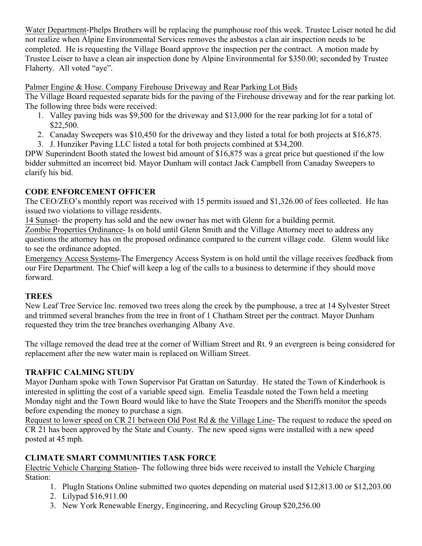Water Department-Phelps Brothers will be replacing the pumphouse roof this week. Trustee Leiser noted he did not realize when Alpine Environmental Services removes the asbestos a clan air inspection needs to be completed. He is requesting the Village Board approve the inspection per the contract. A motion made by Trustee Leiser to have a clean air inspection done by Alpine Environmental for \$350.00; seconded by Trustee Flaherty. All voted "aye".

Palmer Engine & Hose. Company Firehouse Driveway and Rear Parking Lot Bids

The Village Board requested separate bids for the paving of the Firehouse driveway and for the rear parking lot. The following three bids were received:

- 1. Valley paving bids was \$9,500 for the driveway and \$13,000 for the rear parking lot for a total of \$22,500.
- 2. Canaday Sweepers was \$10,450 for the driveway and they listed a total for both projects at \$16,875.
- 3. J. Hunziker Paving LLC listed a total for both projects combined at \$34,200.

DPW Superindent Booth stated the lowest bid amount of \$16,875 was a great price but questioned if the low bidder submitted an incorrect bid. Mayor Dunham will contact Jack Campbell from Canaday Sweepers to clarify his bid.

# **CODE ENFORCEMENT OFFICER**

The CEO/ZEO's monthly report was received with 15 permits issued and \$1,326.00 of fees collected. He has issued two violations to village residents.

14 Sunset- the property has sold and the new owner has met with Glenn for a building permit.

Zombie Properties Ordinance- Is on hold until Glenn Smith and the Village Attorney meet to address any questions the attorney has on the proposed ordinance compared to the current village code. Glenn would like to see the ordinance adopted.

Emergency Access Systems-The Emergency Access System is on hold until the village receives feedback from our Fire Department. The Chief will keep a log of the calls to a business to determine if they should move forward.

# **TREES**

New Leaf Tree Service Inc. removed two trees along the creek by the pumphouse, a tree at 14 Sylvester Street and trimmed several branches from the tree in front of 1 Chatham Street per the contract. Mayor Dunham requested they trim the tree branches overhanging Albany Ave.

The village removed the dead tree at the corner of William Street and Rt. 9 an evergreen is being considered for replacement after the new water main is replaced on William Street.

# **TRAFFIC CALMING STUDY**

Mayor Dunham spoke with Town Supervisor Pat Grattan on Saturday. He stated the Town of Kinderhook is interested in splitting the cost of a variable speed sign. Emelia Teasdale noted the Town held a meeting Monday night and the Town Board would like to have the State Troopers and the Sheriffs monitor the speeds before expending the money to purchase a sign.

Request to lower speed on CR 21 between Old Post Rd & the Village Line- The request to reduce the speed on CR 21 has been approved by the State and County. The new speed signs were installed with a new speed posted at 45 mph.

# **CLIMATE SMART COMMUNITIES TASK FORCE**

Electric Vehicle Charging Station- The following three bids were received to install the Vehicle Charging Station:

- 1. PlugIn Stations Online submitted two quotes depending on material used \$12,813.00 or \$12,203.00
- 2. Lilypad \$16,911.00
- 3. New York Renewable Energy, Engineering, and Recycling Group \$20,256.00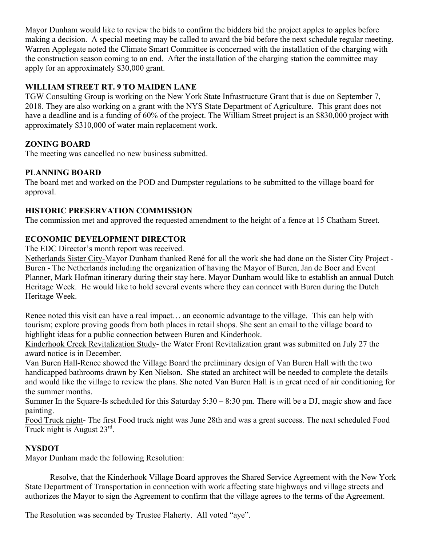Mayor Dunham would like to review the bids to confirm the bidders bid the project apples to apples before making a decision. A special meeting may be called to award the bid before the next schedule regular meeting. Warren Applegate noted the Climate Smart Committee is concerned with the installation of the charging with the construction season coming to an end. After the installation of the charging station the committee may apply for an approximately \$30,000 grant.

### **WILLIAM STREET RT. 9 TO MAIDEN LANE**

TGW Consulting Group is working on the New York State Infrastructure Grant that is due on September 7, 2018. They are also working on a grant with the NYS State Department of Agriculture. This grant does not have a deadline and is a funding of 60% of the project. The William Street project is an \$830,000 project with approximately \$310,000 of water main replacement work.

### **ZONING BOARD**

The meeting was cancelled no new business submitted.

### **PLANNING BOARD**

The board met and worked on the POD and Dumpster regulations to be submitted to the village board for approval.

### **HISTORIC PRESERVATION COMMISSION**

The commission met and approved the requested amendment to the height of a fence at 15 Chatham Street.

### **ECONOMIC DEVELOPMENT DIRECTOR**

The EDC Director's month report was received.

Netherlands Sister City-Mayor Dunham thanked René for all the work she had done on the Sister City Project - Buren - The Netherlands including the organization of having the Mayor of Buren, Jan de Boer and Event Planner, Mark Hofman itinerary during their stay here. Mayor Dunham would like to establish an annual Dutch Heritage Week. He would like to hold several events where they can connect with Buren during the Dutch Heritage Week.

Renee noted this visit can have a real impact… an economic advantage to the village. This can help with tourism; explore proving goods from both places in retail shops. She sent an email to the village board to highlight ideas for a public connection between Buren and Kinderhook.

Kinderhook Creek Revitalization Study- the Water Front Revitalization grant was submitted on July 27 the award notice is in December.

Van Buren Hall-Renee showed the Village Board the preliminary design of Van Buren Hall with the two handicapped bathrooms drawn by Ken Nielson. She stated an architect will be needed to complete the details and would like the village to review the plans. She noted Van Buren Hall is in great need of air conditioning for the summer months.

Summer In the Square-Is scheduled for this Saturday 5:30 – 8:30 pm. There will be a DJ, magic show and face painting.

Food Truck night- The first Food truck night was June 28th and was a great success. The next scheduled Food Truck night is August 23rd.

### **NYSDOT**

Mayor Dunham made the following Resolution:

Resolve, that the Kinderhook Village Board approves the Shared Service Agreement with the New York State Department of Transportation in connection with work affecting state highways and village streets and authorizes the Mayor to sign the Agreement to confirm that the village agrees to the terms of the Agreement.

The Resolution was seconded by Trustee Flaherty. All voted "aye".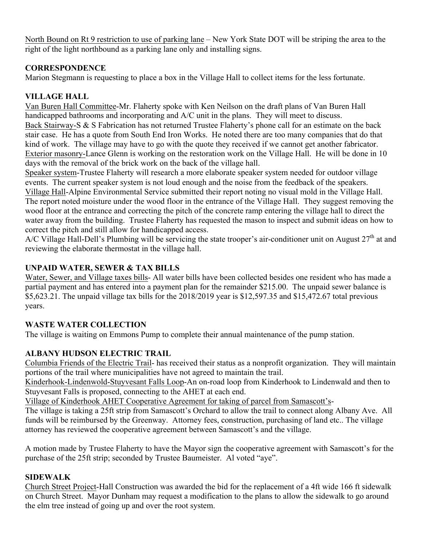North Bound on Rt 9 restriction to use of parking lane – New York State DOT will be striping the area to the right of the light northbound as a parking lane only and installing signs.

### **CORRESPONDENCE**

Marion Stegmann is requesting to place a box in the Village Hall to collect items for the less fortunate.

# **VILLAGE HALL**

Van Buren Hall Committee-Mr. Flaherty spoke with Ken Neilson on the draft plans of Van Buren Hall handicapped bathrooms and incorporating and A/C unit in the plans. They will meet to discuss. Back Stairway-S & S Fabrication has not returned Trustee Flaherty's phone call for an estimate on the back stair case. He has a quote from South End Iron Works. He noted there are too many companies that do that kind of work. The village may have to go with the quote they received if we cannot get another fabricator. Exterior masonry-Lance Glenn is working on the restoration work on the Village Hall. He will be done in 10 days with the removal of the brick work on the back of the village hall.

Speaker system-Trustee Flaherty will research a more elaborate speaker system needed for outdoor village events. The current speaker system is not loud enough and the noise from the feedback of the speakers. Village Hall-Alpine Environmental Service submitted their report noting no visual mold in the Village Hall. The report noted moisture under the wood floor in the entrance of the Village Hall. They suggest removing the wood floor at the entrance and correcting the pitch of the concrete ramp entering the village hall to direct the water away from the building. Trustee Flaherty has requested the mason to inspect and submit ideas on how to correct the pitch and still allow for handicapped access.

A/C Village Hall-Dell's Plumbing will be servicing the state trooper's air-conditioner unit on August 27<sup>th</sup> at and reviewing the elaborate thermostat in the village hall.

# **UNPAID WATER, SEWER & TAX BILLS**

Water, Sewer, and Village taxes bills- All water bills have been collected besides one resident who has made a partial payment and has entered into a payment plan for the remainder \$215.00. The unpaid sewer balance is \$5,623.21. The unpaid village tax bills for the 2018/2019 year is \$12,597.35 and \$15,472.67 total previous years.

# **WASTE WATER COLLECTION**

The village is waiting on Emmons Pump to complete their annual maintenance of the pump station.

# **ALBANY HUDSON ELECTRIC TRAIL**

Columbia Friends of the Electric Trail- has received their status as a nonprofit organization. They will maintain portions of the trail where municipalities have not agreed to maintain the trail.

Kinderhook-Lindenwold-Stuyvesant Falls Loop-An on-road loop from Kinderhook to Lindenwald and then to Stuyvesant Falls is proposed, connecting to the AHET at each end.

Village of Kinderhook AHET Cooperative Agreement for taking of parcel from Samascott's-

The village is taking a 25ft strip from Samascott's Orchard to allow the trail to connect along Albany Ave. All funds will be reimbursed by the Greenway. Attorney fees, construction, purchasing of land etc.. The village attorney has reviewed the cooperative agreement between Samascott's and the village.

A motion made by Trustee Flaherty to have the Mayor sign the cooperative agreement with Samascott's for the purchase of the 25ft strip; seconded by Trustee Baumeister. Al voted "aye".

# **SIDEWALK**

Church Street Project-Hall Construction was awarded the bid for the replacement of a 4ft wide 166 ft sidewalk on Church Street. Mayor Dunham may request a modification to the plans to allow the sidewalk to go around the elm tree instead of going up and over the root system.